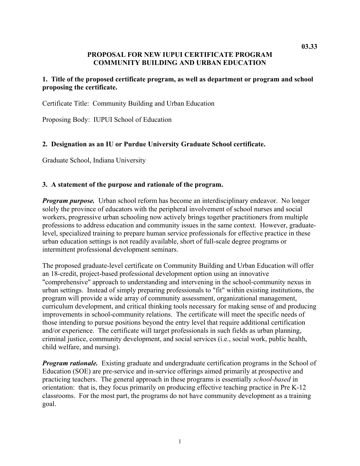# **PROPOSAL FOR NEW IUPUI CERTIFICATE PROGRAM COMMUNITY BUILDING AND URBAN EDUCATION**

#### **1. Title of the proposed certificate program, as well as department or program and school proposing the certificate.**

Certificate Title: Community Building and Urban Education

Proposing Body: IUPUI School of Education

#### **2. Designation as an IU or Purdue University Graduate School certificate.**

Graduate School, Indiana University

#### **3. A statement of the purpose and rationale of the program.**

*Program purpose.* Urban school reform has become an interdisciplinary endeavor. No longer solely the province of educators with the peripheral involvement of school nurses and social workers, progressive urban schooling now actively brings together practitioners from multiple professions to address education and community issues in the same context. However, graduatelevel, specialized training to prepare human service professionals for effective practice in these urban education settings is not readily available, short of full-scale degree programs or intermittent professional development seminars.

The proposed graduate-level certificate on Community Building and Urban Education will offer an 18-credit, project-based professional development option using an innovative "comprehensive" approach to understanding and intervening in the school-community nexus in urban settings. Instead of simply preparing professionals to "fit" within existing institutions, the program will provide a wide array of community assessment, organizational management, curriculum development, and critical thinking tools necessary for making sense of and producing improvements in school-community relations. The certificate will meet the specific needs of those intending to pursue positions beyond the entry level that require additional certification and/or experience. The certificate will target professionals in such fields as urban planning, criminal justice, community development, and social services (i.e., social work, public health, child welfare, and nursing).

*Program rationale.* Existing graduate and undergraduate certification programs in the School of Education (SOE) are pre-service and in-service offerings aimed primarily at prospective and practicing teachers. The general approach in these programs is essentially *school-based* in orientation: that is, they focus primarily on producing effective teaching practice in Pre K-12 classrooms. For the most part, the programs do not have community development as a training goal.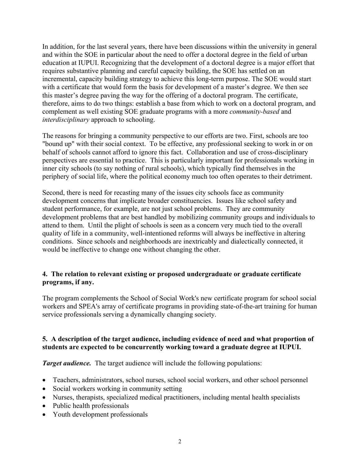In addition, for the last several years, there have been discussions within the university in general and within the SOE in particular about the need to offer a doctoral degree in the field of urban education at IUPUI. Recognizing that the development of a doctoral degree is a major effort that requires substantive planning and careful capacity building, the SOE has settled on an incremental, capacity building strategy to achieve this long-term purpose. The SOE would start with a certificate that would form the basis for development of a master's degree. We then see this master's degree paving the way for the offering of a doctoral program. The certificate, therefore, aims to do two things: establish a base from which to work on a doctoral program, and complement as well existing SOE graduate programs with a more *community-based* and *interdisciplinary* approach to schooling.

The reasons for bringing a community perspective to our efforts are two. First, schools are too "bound up" with their social context. To be effective, any professional seeking to work in or on behalf of schools cannot afford to ignore this fact. Collaboration and use of cross-disciplinary perspectives are essential to practice. This is particularly important for professionals working in inner city schools (to say nothing of rural schools), which typically find themselves in the periphery of social life, where the political economy much too often operates to their detriment.

Second, there is need for recasting many of the issues city schools face as community development concerns that implicate broader constituencies. Issues like school safety and student performance, for example, are not just school problems. They are community development problems that are best handled by mobilizing community groups and individuals to attend to them. Until the plight of schools is seen as a concern very much tied to the overall quality of life in a community, well-intentioned reforms will always be ineffective in altering conditions. Since schools and neighborhoods are inextricably and dialectically connected, it would be ineffective to change one without changing the other.

# **4. The relation to relevant existing or proposed undergraduate or graduate certificate programs, if any.**

The program complements the School of Social Work's new certificate program for school social workers and SPEA's array of certificate programs in providing state-of-the-art training for human service professionals serving a dynamically changing society.

# **5. A description of the target audience, including evidence of need and what proportion of students are expected to be concurrently working toward a graduate degree at IUPUI.**

*Target audience.* The target audience will include the following populations:

- Teachers, administrators, school nurses, school social workers, and other school personnel
- Social workers working in community setting
- Nurses, therapists, specialized medical practitioners, including mental health specialists
- Public health professionals
- Youth development professionals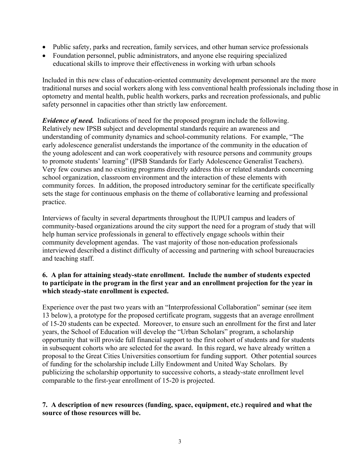- Public safety, parks and recreation, family services, and other human service professionals
- Foundation personnel, public administrators, and anyone else requiring specialized educational skills to improve their effectiveness in working with urban schools

Included in this new class of education-oriented community development personnel are the more traditional nurses and social workers along with less conventional health professionals including those in optometry and mental health, public health workers, parks and recreation professionals, and public safety personnel in capacities other than strictly law enforcement.

*Evidence of need.* Indications of need for the proposed program include the following. Relatively new IPSB subject and developmental standards require an awareness and understanding of community dynamics and school-community relations. For example, "The early adolescence generalist understands the importance of the community in the education of the young adolescent and can work cooperatively with resource persons and community groups to promote students' learning" (IPSB Standards for Early Adolescence Generalist Teachers). Very few courses and no existing programs directly address this or related standards concerning school organization, classroom environment and the interaction of these elements with community forces. In addition, the proposed introductory seminar for the certificate specifically sets the stage for continuous emphasis on the theme of collaborative learning and professional practice.

Interviews of faculty in several departments throughout the IUPUI campus and leaders of community-based organizations around the city support the need for a program of study that will help human service professionals in general to effectively engage schools within their community development agendas. The vast majority of those non-education professionals interviewed described a distinct difficulty of accessing and partnering with school bureaucracies and teaching staff.

# **6. A plan for attaining steady-state enrollment. Include the number of students expected to participate in the program in the first year and an enrollment projection for the year in which steady-state enrollment is expected.**

Experience over the past two years with an "Interprofessional Collaboration" seminar (see item 13 below), a prototype for the proposed certificate program, suggests that an average enrollment of 15-20 students can be expected. Moreover, to ensure such an enrollment for the first and later years, the School of Education will develop the "Urban Scholars" program, a scholarship opportunity that will provide full financial support to the first cohort of students and for students in subsequent cohorts who are selected for the award. In this regard, we have already written a proposal to the Great Cities Universities consortium for funding support. Other potential sources of funding for the scholarship include Lilly Endowment and United Way Scholars. By publicizing the scholarship opportunity to successive cohorts, a steady-state enrollment level comparable to the first-year enrollment of 15-20 is projected.

# **7. A description of new resources (funding, space, equipment, etc.) required and what the source of those resources will be.**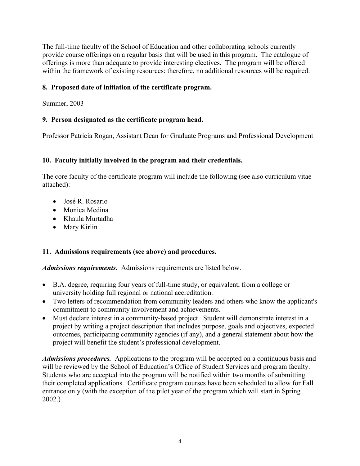The full-time faculty of the School of Education and other collaborating schools currently provide course offerings on a regular basis that will be used in this program. The catalogue of offerings is more than adequate to provide interesting electives. The program will be offered within the framework of existing resources: therefore, no additional resources will be required.

# **8. Proposed date of initiation of the certificate program.**

Summer, 2003

# **9. Person designated as the certificate program head.**

Professor Patricia Rogan, Assistant Dean for Graduate Programs and Professional Development

# **10. Faculty initially involved in the program and their credentials.**

The core faculty of the certificate program will include the following (see also curriculum vitae attached):

- José R. Rosario
- Monica Medina
- Khaula Murtadha
- Mary Kirlin

# **11. Admissions requirements (see above) and procedures.**

*Admissions requirements.* Admissions requirements are listed below.

- B.A. degree, requiring four years of full-time study, or equivalent, from a college or university holding full regional or national accreditation.
- Two letters of recommendation from community leaders and others who know the applicant's commitment to community involvement and achievements.
- Must declare interest in a community-based project. Student will demonstrate interest in a project by writing a project description that includes purpose, goals and objectives, expected outcomes, participating community agencies (if any), and a general statement about how the project will benefit the student's professional development.

*Admissions procedures.* Applications to the program will be accepted on a continuous basis and will be reviewed by the School of Education's Office of Student Services and program faculty. Students who are accepted into the program will be notified within two months of submitting their completed applications. Certificate program courses have been scheduled to allow for Fall entrance only (with the exception of the pilot year of the program which will start in Spring 2002.)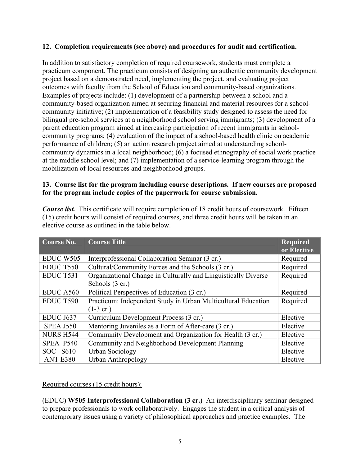# **12. Completion requirements (see above) and procedures for audit and certification.**

In addition to satisfactory completion of required coursework, students must complete a practicum component. The practicum consists of designing an authentic community development project based on a demonstrated need, implementing the project, and evaluating project outcomes with faculty from the School of Education and community-based organizations. Examples of projects include: (1) development of a partnership between a school and a community-based organization aimed at securing financial and material resources for a schoolcommunity initiative; (2) implementation of a feasibility study designed to assess the need for bilingual pre-school services at a neighborhood school serving immigrants; (3) development of a parent education program aimed at increasing participation of recent immigrants in schoolcommunity programs; (4) evaluation of the impact of a school-based health clinic on academic performance of children; (5) an action research project aimed at understanding schoolcommunity dynamics in a local neighborhood; (6) a focused ethnography of social work practice at the middle school level; and (7) implementation of a service-learning program through the mobilization of local resources and neighborhood groups.

# **13. Course list for the program including course descriptions. If new courses are proposed for the program include copies of the paperwork for course submission.**

| <b>Course No.</b> | <b>Course Title</b>                                                                  | <b>Required</b><br>or Elective |
|-------------------|--------------------------------------------------------------------------------------|--------------------------------|
| EDUC W505         | Interprofessional Collaboration Seminar (3 cr.)                                      | Required                       |
| <b>EDUCT550</b>   | Cultural/Community Forces and the Schools (3 cr.)                                    | Required                       |
| EDUC T531         | Organizational Change in Culturally and Linguistically Diverse<br>Schools (3 cr.)    | Required                       |
| <b>EDUC A560</b>  | Political Perspectives of Education (3 cr.)                                          | Required                       |
| EDUC T590         | Practicum: Independent Study in Urban Multicultural Education<br>$(1-3 \text{ cr.})$ | Required                       |
| <b>EDUC J637</b>  | Curriculum Development Process (3 cr.)                                               | Elective                       |
| <b>SPEA J550</b>  | Mentoring Juveniles as a Form of After-care (3 cr.)                                  | Elective                       |
| <b>NURS H544</b>  | Community Development and Organization for Health (3 cr.)                            | Elective                       |
| SPEA P540         | Community and Neighborhood Development Planning                                      | Elective                       |
| SOC S610          | <b>Urban Sociology</b>                                                               | Elective                       |
| ANT E380          | Urban Anthropology                                                                   | Elective                       |

*Course list.* This certificate will require completion of 18 credit hours of coursework. Fifteen (15) credit hours will consist of required courses, and three credit hours will be taken in an elective course as outlined in the table below.

# Required courses (15 credit hours):

(EDUC) **W505 Interprofessional Collaboration (3 cr.)** An interdisciplinary seminar designed to prepare professionals to work collaboratively. Engages the student in a critical analysis of contemporary issues using a variety of philosophical approaches and practice examples. The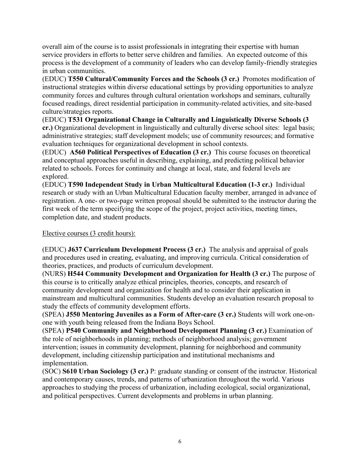overall aim of the course is to assist professionals in integrating their expertise with human service providers in efforts to better serve children and families. An expected outcome of this process is the development of a community of leaders who can develop family-friendly strategies in urban communities.

(EDUC) **T550 Cultural/Community Forces and the Schools (3 cr.)** Promotes modification of instructional strategies within diverse educational settings by providing opportunities to analyze community forces and cultures through cultural orientation workshops and seminars, culturally focused readings, direct residential participation in community-related activities, and site-based culture/strategies reports.

(EDUC) **T531 Organizational Change in Culturally and Linguistically Diverse Schools (3 cr.)** Organizational development in linguistically and culturally diverse school sites: legal basis; administrative strategies; staff development models; use of community resources; and formative evaluation techniques for organizational development in school contexts.

(EDUC) **A560 Political Perspectives of Education (3 cr.)** This course focuses on theoretical and conceptual approaches useful in describing, explaining, and predicting political behavior related to schools. Forces for continuity and change at local, state, and federal levels are explored.

(EDUC) **T590 Independent Study in Urban Multicultural Education (1-3 cr.)** Individual research or study with an Urban Multicultural Education faculty member, arranged in advance of registration. A one- or two-page written proposal should be submitted to the instructor during the first week of the term specifying the scope of the project, project activities, meeting times, completion date, and student products.

Elective courses (3 credit hours):

(EDUC) **J637 Curriculum Development Process (3 cr.)** The analysis and appraisal of goals and procedures used in creating, evaluating, and improving curricula. Critical consideration of theories, practices, and products of curriculum development.

(NURS) **H544 Community Development and Organization for Health (3 cr.)** The purpose of this course is to critically analyze ethical principles, theories, concepts, and research of community development and organization for health and to consider their application in mainstream and multicultural communities. Students develop an evaluation research proposal to study the effects of community development efforts.

(SPEA) **J550 Mentoring Juveniles as a Form of After-care (3 cr.)** Students will work one-onone with youth being released from the Indiana Boys School.

(SPEA) **P540 Community and Neighborhood Development Planning (3 cr.)** Examination of the role of neighborhoods in planning; methods of neighborhood analysis; government intervention; issues in community development, planning for neighborhood and community development, including citizenship participation and institutional mechanisms and implementation.

(SOC) **S610 Urban Sociology (3 cr.)** P: graduate standing or consent of the instructor. Historical and contemporary causes, trends, and patterns of urbanization throughout the world. Various approaches to studying the process of urbanization, including ecological, social organizational, and political perspectives. Current developments and problems in urban planning.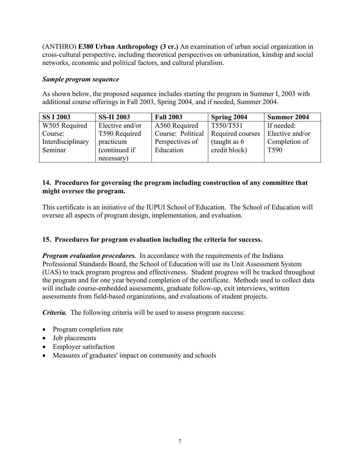(ANTHRO) **E380 Urban Anthropology (3 cr.)** An examination of urban social organization in cross-cultural perspective, including theoretical perspectives on urbanization, kinship and social networks, economic and political factors, and cultural pluralism.

# *Sample program sequence*

As shown below, the proposed sequence includes starting the program in Summer I, 2003 with additional course offerings in Fall 2003, Spring 2004, and if needed, Summer 2004.

| <b>SSI 2003</b>   | <b>SS-II 2003</b> | <b>Fall 2003</b>  | <b>Spring 2004</b> | Summer 2004      |
|-------------------|-------------------|-------------------|--------------------|------------------|
| W505 Required     | Elective and/or   | A560 Required     | T550/T531          | If needed:       |
| Course:           | T590 Required     | Course: Political | Required courses   | Elective and/or  |
| Interdisciplinary | practicum         | Perspectives of   | (taught as $6$     | Completion of    |
| Seminar           | (continued if     | Education         | credit block)      | T <sub>590</sub> |
|                   | necessary)        |                   |                    |                  |

# **14. Procedures for governing the program including construction of any committee that might oversee the program.**

This certificate is an initiative of the IUPUI School of Education. The School of Education will oversee all aspects of program design, implementation, and evaluation.

# **15. Procedures for program evaluation including the criteria for success.**

*Program evaluation procedures.* In accordance with the requirements of the Indiana Professional Standards Board, the School of Education will use its Unit Assessment System (UAS) to track program progress and effectiveness. Student progress will be tracked throughout the program and for one year beyond completion of the certificate. Methods used to collect data will include course-embedded assessments, graduate follow-up, exit interviews, written assessments from field-based organizations, and evaluations of student projects.

*Criteria.* The following criteria will be used to assess program success:

- Program completion rate
- Job placements
- Employer satisfaction
- Measures of graduates' impact on community and schools